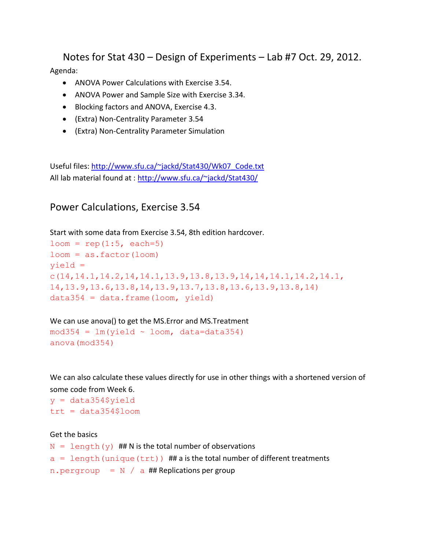Notes for Stat 430 – Design of Experiments – Lab #7 Oct. 29, 2012. Agenda:

- ANOVA Power Calculations with Exercise 3.54.
- ANOVA Power and Sample Size with Exercise 3.34.
- Blocking factors and ANOVA, Exercise 4.3.
- (Extra) Non-Centrality Parameter 3.54
- (Extra) Non-Centrality Parameter Simulation

Useful files: [http://www.sfu.ca/~jackd/Stat430/Wk07\\_Code.txt](http://www.sfu.ca/~jackd/Stat430/Wk07_Code.txt) All lab material found at :<http://www.sfu.ca/~jackd/Stat430/>

Power Calculations, Exercise 3.54

Start with some data from Exercise 3.54, 8th edition hardcover.

```
loom = rep(1:5, each=5)loom = as.factor(loom)yield = 
c(14, 14.1, 14.2, 14, 14.1, 13.9, 13.8, 13.9, 14, 14, 14.1, 14.2, 14.1,14,13.9,13.6,13.8,14,13.9,13.7,13.8,13.6,13.9,13.8,14)
data354 = data frame(loom, yield)
```
We can use anova() to get the MS.Error and MS.Treatment  $mod354 = lm(yield ~loom, data=data354)$ anova(mod354)

We can also calculate these values directly for use in other things with a shortened version of some code from Week 6.

 $y = data354$ \$yield  $trt = data354$1oom$ 

#### Get the basics

```
N = length (y) ## N is the total number of observations
a = length (unique (trt)) ## a is the total number of different treatments
n. pergroup = N / a ## Replications per group
```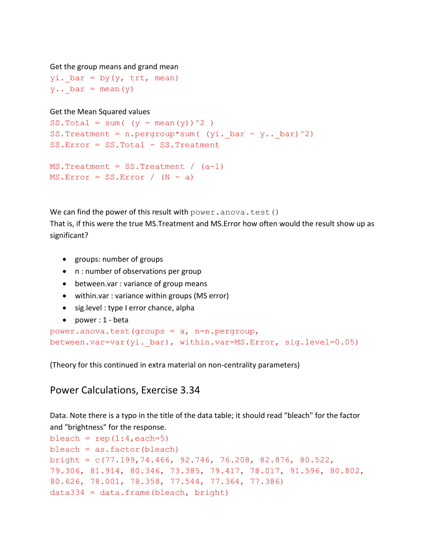```
Get the group means and grand mean
```
yi. bar = by(y, trt, mean)  $y...$  bar = mean(y)

### Get the Mean Squared values

```
SS.Total = sum( (y - \text{mean}(y))^2 )
SS.Treatment = n.pergroup*sum( (yi. bar - y.. bar)^2)
SS.Error = SS.Total - SS.Treatment
```

```
MS.\texttt{Treatment} = SS.\texttt{Treatment} / (a-1)
MS.Frror = SS.Frror / (N - a)
```
We can find the power of this result with  $power$ . anova.test() That is, if this were the true MS.Treatment and MS.Error how often would the result show up as significant?

- groups: number of groups
- n : number of observations per group
- between.var : variance of group means
- within.var : variance within groups (MS error)
- sig.level : type I error chance, alpha
- power : 1 beta

```
power.anova.test(groups = a, n=n.pergroup, 
between.var=var(yi._bar), within.var=MS.Error, sig.level=0.05)
```
(Theory for this continued in extra material on non-centrality parameters)

## Power Calculations, Exercise 3.34

Data. Note there is a typo in the title of the data table; it should read "bleach" for the factor and "brightness" for the response.

```
bleach = rep(1:4, each=5)bleach = as.factor(bleach)bright = c(77.199,74.466, 92.746, 76.208, 82.876, 80.522, 
79.306, 81.914, 80.346, 73.385, 79.417, 78.017, 91.596, 80.802, 
80.626, 78.001, 78.358, 77.544, 77.364, 77.386)
data334 = data frame(bleach, bright)
```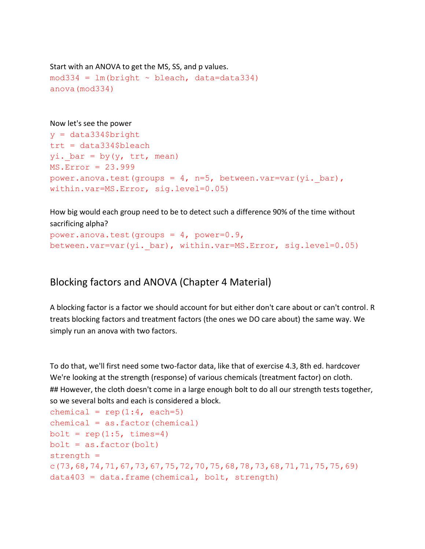```
Start with an ANOVA to get the MS, SS, and p values.
mod334 = lm(bright ~ ~ bleach, data=data334)anova(mod334)
```
#### Now let's see the power

```
y = data334$bright
trt = data334$bleach
yi. bar = by(y, trt, mean)
MS.Error = 23.999
power.anova.test(groups = 4, n=5, between.var=var(yi. bar),
within.var=MS.Error, sig.level=0.05)
```
How big would each group need to be to detect such a difference 90% of the time without sacrificing alpha?

```
power.anova.test(groups = 4, power=0.9,
between.var=var(yi._bar), within.var=MS.Error, sig.level=0.05)
```
# Blocking factors and ANOVA (Chapter 4 Material)

A blocking factor is a factor we should account for but either don't care about or can't control. R treats blocking factors and treatment factors (the ones we DO care about) the same way. We simply run an anova with two factors.

To do that, we'll first need some two-factor data, like that of exercise 4.3, 8th ed. hardcover We're looking at the strength (response) of various chemicals (treatment factor) on cloth. ## However, the cloth doesn't come in a large enough bolt to do all our strength tests together, so we several bolts and each is considered a block.

```
chemical = rep(1:4, each=5)chemical = as.factor(chemical)bolt = rep(1:5, times=4)bolt = as.factor(bolt)strength = 
c(73,68,74,71,67,73,67,75,72,70,75,68,78,73,68,71,71,75,75,69)
data403 = data.frame(chemical, bolt, strength)
```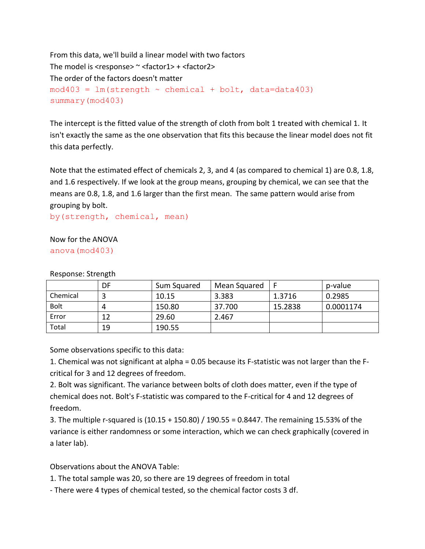```
From this data, we'll build a linear model with two factors
The model is <response> \sim <factor1> + <factor2>
The order of the factors doesn't matter
mod403 = lm(strength ~chemical ~+ bolt, data=data403)summary(mod403)
```
The intercept is the fitted value of the strength of cloth from bolt 1 treated with chemical 1. It isn't exactly the same as the one observation that fits this because the linear model does not fit this data perfectly.

Note that the estimated effect of chemicals 2, 3, and 4 (as compared to chemical 1) are 0.8, 1.8, and 1.6 respectively. If we look at the group means, grouping by chemical, we can see that the means are 0.8, 1.8, and 1.6 larger than the first mean. The same pattern would arise from grouping by bolt.

by(strength, chemical, mean)

## Now for the ANOVA anova(mod403)

|             | DF | Sum Squared | Mean Squared |         | p-value   |
|-------------|----|-------------|--------------|---------|-----------|
| Chemical    |    | 10.15       | 3.383        | 1.3716  | 0.2985    |
| <b>Bolt</b> | 4  | 150.80      | 37.700       | 15.2838 | 0.0001174 |
| Error       | 12 | 29.60       | 2.467        |         |           |
| Total       | 19 | 190.55      |              |         |           |

Response: Strength

Some observations specific to this data:

1. Chemical was not significant at alpha = 0.05 because its F-statistic was not larger than the Fcritical for 3 and 12 degrees of freedom.

2. Bolt was significant. The variance between bolts of cloth does matter, even if the type of chemical does not. Bolt's F-statistic was compared to the F-critical for 4 and 12 degrees of freedom.

3. The multiple r-squared is (10.15 + 150.80) / 190.55 = 0.8447. The remaining 15.53% of the variance is either randomness or some interaction, which we can check graphically (covered in a later lab).

Observations about the ANOVA Table:

1. The total sample was 20, so there are 19 degrees of freedom in total

- There were 4 types of chemical tested, so the chemical factor costs 3 df.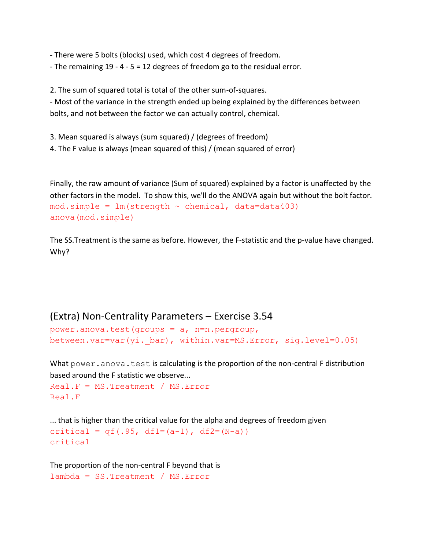- There were 5 bolts (blocks) used, which cost 4 degrees of freedom.

- The remaining 19 - 4 - 5 = 12 degrees of freedom go to the residual error.

2. The sum of squared total is total of the other sum-of-squares.

- Most of the variance in the strength ended up being explained by the differences between bolts, and not between the factor we can actually control, chemical.

3. Mean squared is always (sum squared) / (degrees of freedom)

4. The F value is always (mean squared of this) / (mean squared of error)

Finally, the raw amount of variance (Sum of squared) explained by a factor is unaffected by the other factors in the model. To show this, we'll do the ANOVA again but without the bolt factor.  $mod.simple = Im(strength \sim chemical, data=data403)$ anova(mod.simple)

The SS.Treatment is the same as before. However, the F-statistic and the p-value have changed. Why?

## (Extra) Non-Centrality Parameters – Exercise 3.54

```
power.anova.test(groups = a, n=n.pergroup, 
between.var=var(yi._bar), within.var=MS.Error, sig.level=0.05)
```
What power.anova.test is calculating is the proportion of the non-central F distribution based around the F statistic we observe...

```
Real.F = MS.Treatment / MS.Error
Real.F
```

```
... that is higher than the critical value for the alpha and degrees of freedom given
critical = qf(.95, df1=(a-1), df2=(N-a))critical
```

```
The proportion of the non-central F beyond that is
lambda = SS.Treatment / MS.Error
```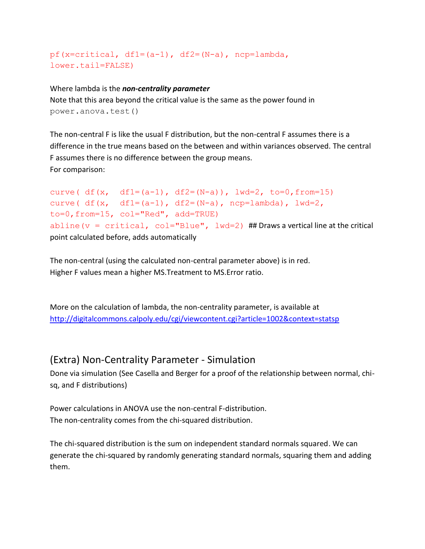```
pf(x=critical, df1=(a-1), df2=(N-a), ncp=lambda, 
lower.tail=FALSE)
```
### Where lambda is the *non-centrality parameter*

Note that this area beyond the critical value is the same as the power found in power.anova.test()

The non-central F is like the usual F distribution, but the non-central F assumes there is a difference in the true means based on the between and within variances observed. The central F assumes there is no difference between the group means. For comparison:

```
curve( df(x, df1=(a-1), df2=(N-a)), 1wd=2, to=0, from=15)curve( df(x, df1=(a-1), df2=(N-a), ncp=lambda, j, lwd=2,to=0,from=15, col="Red", add=TRUE)
abline (v = critical, col="Blue", 1wd=2) ## Draws a vertical line at the critical
point calculated before, adds automatically
```
The non-central (using the calculated non-central parameter above) is in red. Higher F values mean a higher MS.Treatment to MS.Error ratio.

More on the calculation of lambda, the non-centrality parameter, is available at <http://digitalcommons.calpoly.edu/cgi/viewcontent.cgi?article=1002&context=statsp>

# (Extra) Non-Centrality Parameter - Simulation

Done via simulation (See Casella and Berger for a proof of the relationship between normal, chisq, and F distributions)

Power calculations in ANOVA use the non-central F-distribution. The non-centrality comes from the chi-squared distribution.

The chi-squared distribution is the sum on independent standard normals squared. We can generate the chi-squared by randomly generating standard normals, squaring them and adding them.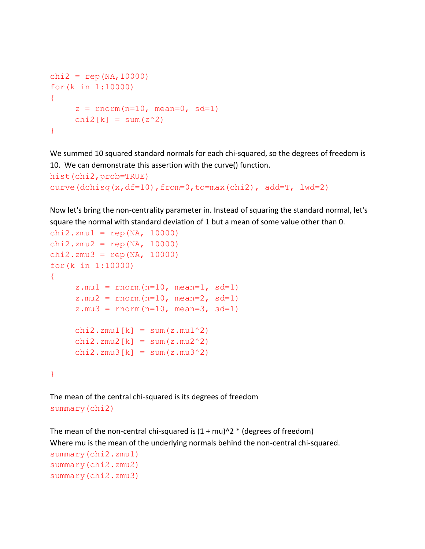```
chi2 = rep(NA,10000)for(k in 1:10000)
{
     z = rnorm(n=10, mean=0, sd=1)
     chi2[k] = sum(z^2)}
```
We summed 10 squared standard normals for each chi-squared, so the degrees of freedom is 10. We can demonstrate this assertion with the curve() function.

```
hist(chi2,prob=TRUE)
curve(dchisq(x,df=10),from=0,to=max(chi2), add=T, lwd=2)
```
Now let's bring the non-centrality parameter in. Instead of squaring the standard normal, let's square the normal with standard deviation of 1 but a mean of some value other than 0.

```
chi2.zmu1 =rep(NA, 10000)
chi2.zmu2 = rep(NA, 10000)chi2.zmu3 = rep(NA, 10000)
for(k in 1:10000)
{
     z.mu1 = rnorm(n=10, mean=1, sd=1)z.mu2 = rnorm(n=10, mean=2, sd=1)z.mu3 = rnorm(n=10, mean=3, sd=1)chi2.zmu1[k] = sum(z.mu1^2)chi2.zmu2[k] = sum(z.mu2^2)chi2.zmu3[k] = sum(z.mu3^2)}
```
The mean of the central chi-squared is its degrees of freedom summary(chi2)

```
The mean of the non-central chi-squared is (1 + mu)^{2} * (degrees of freedom)
Where mu is the mean of the underlying normals behind the non-central chi-squared.
summary(chi2.zmu1)
summary(chi2.zmu2)
summary(chi2.zmu3)
```